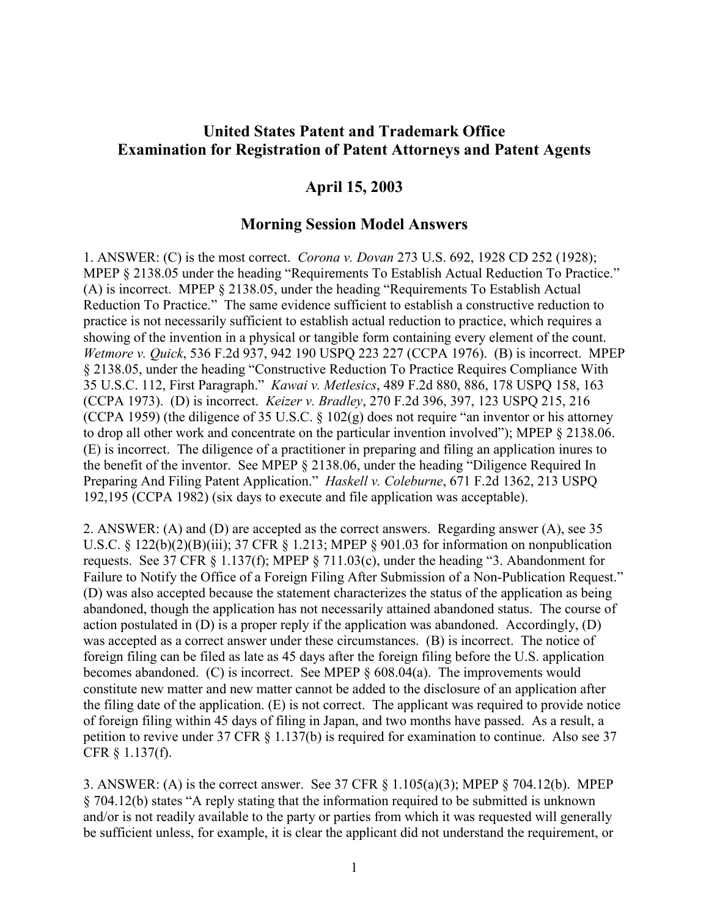## **United States Patent and Trademark Office Examination for Registration of Patent Attorneys and Patent Agents**

## **April 15, 2003**

## **Morning Session Model Answers**

1. ANSWER: (C) is the most correct. *Corona v. Dovan* 273 U.S. 692, 1928 CD 252 (1928); MPEP § 2138.05 under the heading "Requirements To Establish Actual Reduction To Practice." (A) is incorrect. MPEP § 2138.05, under the heading "Requirements To Establish Actual Reduction To Practice." The same evidence sufficient to establish a constructive reduction to practice is not necessarily sufficient to establish actual reduction to practice, which requires a showing of the invention in a physical or tangible form containing every element of the count. *Wetmore v. Quick*, 536 F.2d 937, 942 190 USPQ 223 227 (CCPA 1976). (B) is incorrect. MPEP § 2138.05, under the heading "Constructive Reduction To Practice Requires Compliance With 35 U.S.C. 112, First Paragraph." *Kawai v. Metlesics*, 489 F.2d 880, 886, 178 USPQ 158, 163 (CCPA 1973). (D) is incorrect. *Keizer v. Bradley*, 270 F.2d 396, 397, 123 USPQ 215, 216 (CCPA 1959) (the diligence of 35 U.S.C. § 102(g) does not require "an inventor or his attorney to drop all other work and concentrate on the particular invention involved"); MPEP § 2138.06. (E) is incorrect. The diligence of a practitioner in preparing and filing an application inures to the benefit of the inventor. See MPEP § 2138.06, under the heading "Diligence Required In Preparing And Filing Patent Application." *Haskell v. Coleburne*, 671 F.2d 1362, 213 USPQ 192,195 (CCPA 1982) (six days to execute and file application was acceptable).

2. ANSWER: (A) and (D) are accepted as the correct answers. Regarding answer (A), see 35 U.S.C. § 122(b)(2)(B)(iii); 37 CFR § 1.213; MPEP § 901.03 for information on nonpublication requests. See 37 CFR § 1.137(f); MPEP § 711.03(c), under the heading "3. Abandonment for Failure to Notify the Office of a Foreign Filing After Submission of a Non-Publication Request." (D) was also accepted because the statement characterizes the status of the application as being abandoned, though the application has not necessarily attained abandoned status. The course of action postulated in (D) is a proper reply if the application was abandoned. Accordingly, (D) was accepted as a correct answer under these circumstances. (B) is incorrect. The notice of foreign filing can be filed as late as 45 days after the foreign filing before the U.S. application becomes abandoned. (C) is incorrect. See MPEP § 608.04(a). The improvements would constitute new matter and new matter cannot be added to the disclosure of an application after the filing date of the application. (E) is not correct. The applicant was required to provide notice of foreign filing within 45 days of filing in Japan, and two months have passed. As a result, a petition to revive under 37 CFR § 1.137(b) is required for examination to continue. Also see 37 CFR § 1.137(f).

3. ANSWER: (A) is the correct answer. See 37 CFR § 1.105(a)(3); MPEP § 704.12(b). MPEP § 704.12(b) states "A reply stating that the information required to be submitted is unknown and/or is not readily available to the party or parties from which it was requested will generally be sufficient unless, for example, it is clear the applicant did not understand the requirement, or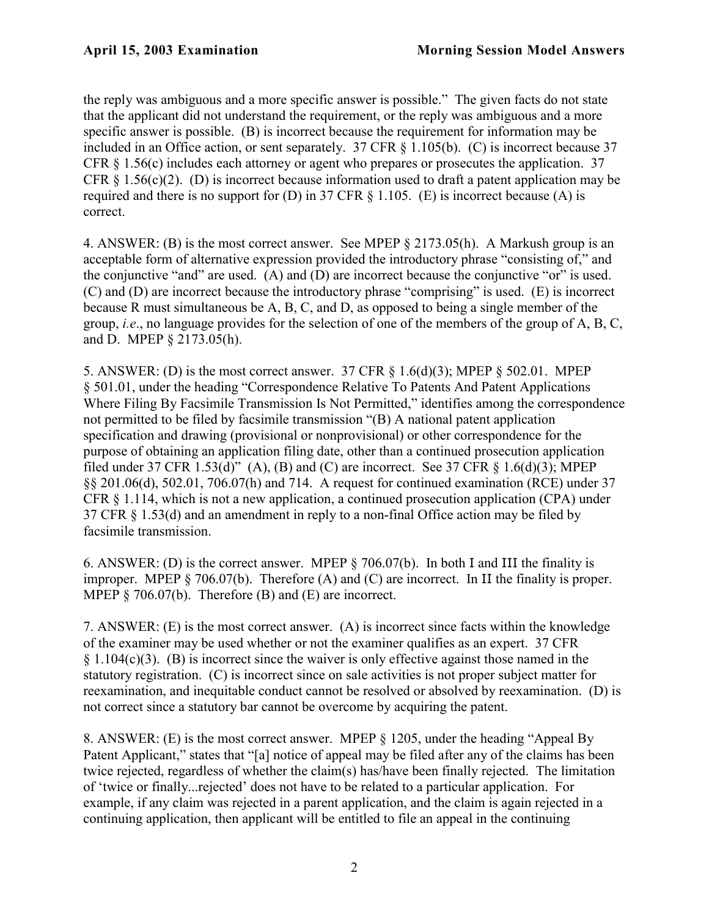the reply was ambiguous and a more specific answer is possible." The given facts do not state that the applicant did not understand the requirement, or the reply was ambiguous and a more specific answer is possible. (B) is incorrect because the requirement for information may be included in an Office action, or sent separately. 37 CFR § 1.105(b). (C) is incorrect because 37 CFR § 1.56(c) includes each attorney or agent who prepares or prosecutes the application. 37 CFR  $\delta$  1.56(c)(2). (D) is incorrect because information used to draft a patent application may be required and there is no support for (D) in 37 CFR  $\S$  1.105. (E) is incorrect because (A) is correct.

4. ANSWER: (B) is the most correct answer. See MPEP § 2173.05(h). A Markush group is an acceptable form of alternative expression provided the introductory phrase "consisting of," and the conjunctive "and" are used. (A) and (D) are incorrect because the conjunctive "or" is used. (C) and (D) are incorrect because the introductory phrase "comprising" is used. (E) is incorrect because R must simultaneous be A, B, C, and D, as opposed to being a single member of the group, *i.e*., no language provides for the selection of one of the members of the group of A, B, C, and D. MPEP § 2173.05(h).

5. ANSWER: (D) is the most correct answer. 37 CFR § 1.6(d)(3); MPEP § 502.01. MPEP § 501.01, under the heading "Correspondence Relative To Patents And Patent Applications Where Filing By Facsimile Transmission Is Not Permitted," identifies among the correspondence not permitted to be filed by facsimile transmission "(B) A national patent application specification and drawing (provisional or nonprovisional) or other correspondence for the purpose of obtaining an application filing date, other than a continued prosecution application filed under 37 [CFR 1.53\(d\)"](http://www.uspto.gov/web/offices/pac/mpep/documents/appxr_1_53.htm) (A), (B) and (C) are incorrect. See 37 CFR  $\S$  1.6(d)(3); MPEP §§ 201.06(d), 502.01, 706.07(h) and 714. A request for continued examination (RCE) under 37 CFR § 1.114, which is not a new application, a continued prosecution application (CPA) under 37 CFR § 1.53(d) and an amendment in reply to a non-final Office action may be filed by facsimile transmission.

6. ANSWER: (D) is the correct answer. MPEP § 706.07(b). In both I and III the finality is improper. MPEP § 706.07(b). Therefore (A) and (C) are incorrect. In II the finality is proper. MPEP  $\S$  706.07(b). Therefore (B) and (E) are incorrect.

7. ANSWER: (E) is the most correct answer. (A) is incorrect since facts within the knowledge of the examiner may be used whether or not the examiner qualifies as an expert. 37 CFR  $§ 1.104(c)(3)$ . (B) is incorrect since the waiver is only effective against those named in the statutory registration. (C) is incorrect since on sale activities is not proper subject matter for reexamination, and inequitable conduct cannot be resolved or absolved by reexamination. (D) is not correct since a statutory bar cannot be overcome by acquiring the patent.

8. ANSWER: (E) is the most correct answer. MPEP § 1205, under the heading "Appeal By Patent Applicant," states that "[a] notice of appeal may be filed after any of the claims has been twice rejected, regardless of whether the claim(s) has/have been finally rejected. The limitation of 'twice or finally...rejected' does not have to be related to a particular application. For example, if any claim was rejected in a parent application, and the claim is again rejected in a continuing application, then applicant will be entitled to file an appeal in the continuing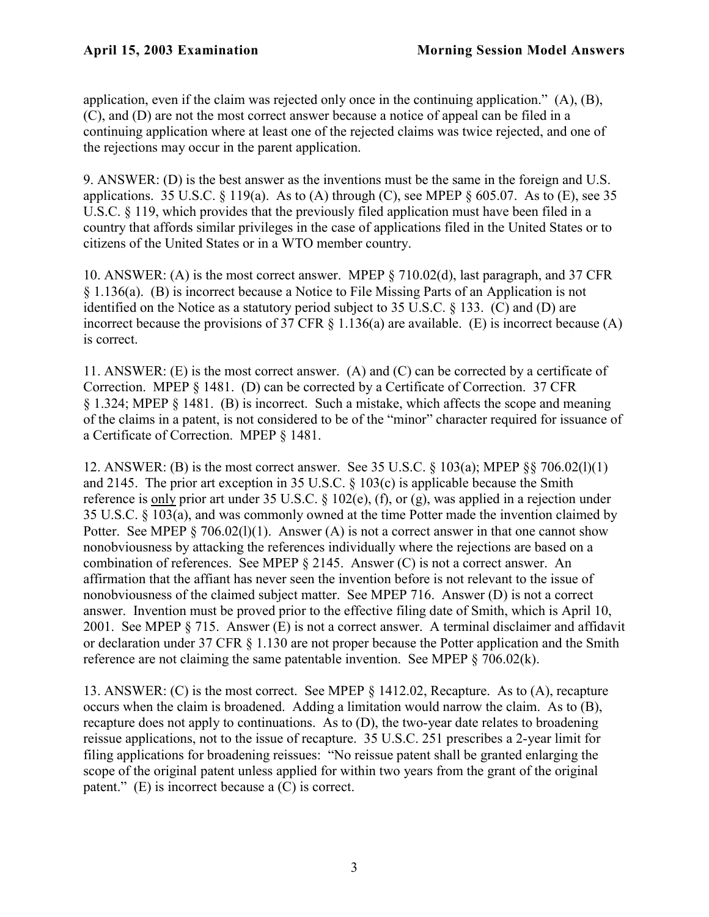application, even if the claim was rejected only once in the continuing application." (A), (B), (C), and (D) are not the most correct answer because a notice of appeal can be filed in a continuing application where at least one of the rejected claims was twice rejected, and one of the rejections may occur in the parent application.

9. ANSWER: (D) is the best answer as the inventions must be the same in the foreign and U.S. applications. 35 U.S.C.  $\S$  119(a). As to (A) through (C), see MPEP  $\S$  605.07. As to (E), see 35 U.S.C. § 119, which provides that the previously filed application must have been filed in a country that affords similar privileges in the case of applications filed in the United States or to citizens of the United States or in a WTO member country.

10. ANSWER: (A) is the most correct answer. MPEP § 710.02(d), last paragraph, and 37 CFR § 1.136(a). (B) is incorrect because a Notice to File Missing Parts of an Application is not identified on the Notice as a statutory period subject to 35 U.S.C. § 133. (C) and (D) are incorrect because the provisions of 37 CFR  $\S$  1.136(a) are available. (E) is incorrect because (A) is correct.

11. ANSWER: (E) is the most correct answer. (A) and (C) can be corrected by a certificate of Correction. MPEP § 1481. (D) can be corrected by a Certificate of Correction. 37 CFR § 1.324; MPEP § 1481. (B) is incorrect. Such a mistake, which affects the scope and meaning of the claims in a patent, is not considered to be of the "minor" character required for issuance of a Certificate of Correction. MPEP § 1481.

12. ANSWER: (B) is the most correct answer. See 35 U.S.C. § 103(a); MPEP §§ 706.02(l)(1) and 2145. The prior art exception in 35 U.S.C. § 103(c) is applicable because the Smith reference is only prior art under 35 U.S.C. § 102(e), (f), or (g), was applied in a rejection under 35 U.S.C. § 103(a), and was commonly owned at the time Potter made the invention claimed by Potter. See MPEP  $\S 706.02(1)(1)$ . Answer (A) is not a correct answer in that one cannot show nonobviousness by attacking the references individually where the rejections are based on a combination of references. See MPEP § 2145. Answer (C) is not a correct answer. An affirmation that the affiant has never seen the invention before is not relevant to the issue of nonobviousness of the claimed subject matter. See MPEP 716. Answer (D) is not a correct answer. Invention must be proved prior to the effective filing date of Smith, which is April 10, 2001. See MPEP § 715. Answer (E) is not a correct answer. A terminal disclaimer and affidavit or declaration under 37 CFR § 1.130 are not proper because the Potter application and the Smith reference are not claiming the same patentable invention. See MPEP  $\S$  706.02(k).

13. ANSWER: (C) is the most correct. See MPEP § 1412.02, Recapture. As to (A), recapture occurs when the claim is broadened. Adding a limitation would narrow the claim. As to (B), recapture does not apply to continuations. As to (D), the two-year date relates to broadening reissue applications, not to the issue of recapture. 35 U.S.C. 251 prescribes a 2-year limit for filing applications for broadening reissues: "No reissue patent shall be granted enlarging the scope of the original patent unless applied for within two years from the grant of the original patent." (E) is incorrect because a (C) is correct.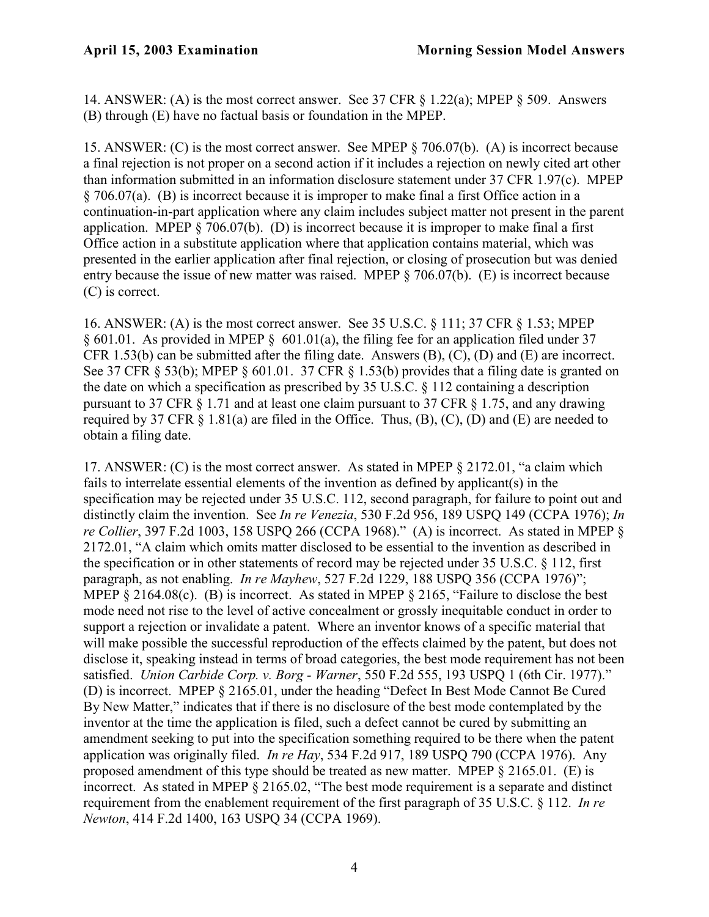14. ANSWER: (A) is the most correct answer. See 37 CFR § 1.22(a); MPEP § 509. Answers (B) through (E) have no factual basis or foundation in the MPEP.

15. ANSWER: (C) is the most correct answer. See MPEP § 706.07(b). (A) is incorrect because a final rejection is not proper on a second action if it includes a rejection on newly cited art other than information submitted in an information disclosure statement under 37 CFR 1.97(c). MPEP § 706.07(a). (B) is incorrect because it is improper to make final a first Office action in a continuation-in-part application where any claim includes subject matter not present in the parent application. MPEP  $\S 706.07(b)$ . (D) is incorrect because it is improper to make final a first Office action in a substitute application where that application contains material, which was presented in the earlier application after final rejection, or closing of prosecution but was denied entry because the issue of new matter was raised. MPEP § 706.07(b). (E) is incorrect because (C) is correct.

16. ANSWER: (A) is the most correct answer. See 35 U.S.C. § 111; 37 CFR § 1.53; MPEP § 601.01. As provided in MPEP § 601.01(a), the filing fee for an application filed under 37 CFR 1.53(b) can be submitted after the filing date. Answers (B), (C), (D) and (E) are incorrect. See 37 CFR § 53(b); MPEP § 601.01. 37 CFR § 1.53(b) provides that a filing date is granted on the date on which a specification as prescribed by 35 U.S.C.  $\S$  112 containing a description pursuant to 37 CFR § 1.71 and at least one claim pursuant to 37 CFR § 1.75, and any drawing required by 37 CFR  $\S$  1.81(a) are filed in the Office. Thus, (B), (C), (D) and (E) are needed to obtain a filing date.

17. ANSWER: (C) is the most correct answer. As stated in MPEP § 2172.01, "a claim which fails to interrelate essential elements of the invention as defined by applicant(s) in the specification may be rejected under 35 U.S.C. 112, second paragraph, for failure to point out and distinctly claim the invention. See *In re Venezia*, 530 F.2d 956, 189 USPQ 149 (CCPA 1976); *In re Collier*, 397 F.2d 1003, 158 USPQ 266 (CCPA 1968)." (A) is incorrect. As stated in MPEP § 2172.01, "A claim which omits matter disclosed to be essential to the invention as described in the specification or in other statements of record may be rejected under 35 U.S.C. § 112, first paragraph, as not enabling. *In re Mayhew*, 527 F.2d 1229, 188 USPQ 356 (CCPA 1976)"; MPEP  $\S 2164.08(c)$ . (B) is incorrect. As stated in MPEP  $\S 2165$ , "Failure to disclose the best mode need not rise to the level of active concealment or grossly inequitable conduct in order to support a rejection or invalidate a patent. Where an inventor knows of a specific material that will make possible the successful reproduction of the effects claimed by the patent, but does not disclose it, speaking instead in terms of broad categories, the best mode requirement has not been satisfied. *Union Carbide Corp. v. Borg - Warner*, 550 F.2d 555, 193 USPQ 1 (6th Cir. 1977)." (D) is incorrect. MPEP § 2165.01, under the heading "Defect In Best Mode Cannot Be Cured By New Matter," indicates that if there is no disclosure of the best mode contemplated by the inventor at the time the application is filed, such a defect cannot be cured by submitting an amendment seeking to put into the specification something required to be there when the patent application was originally filed. *In re Hay*, 534 F.2d 917, 189 USPQ 790 (CCPA 1976). Any proposed amendment of this type should be treated as new matter. MPEP § 2165.01. (E) is incorrect. As stated in MPEP § 2165.02, "The best mode requirement is a separate and distinct requirement from the enablement requirement of the first paragraph of 35 U.S.C. § 112. *In re Newton*, 414 F.2d 1400, 163 USPQ 34 (CCPA 1969).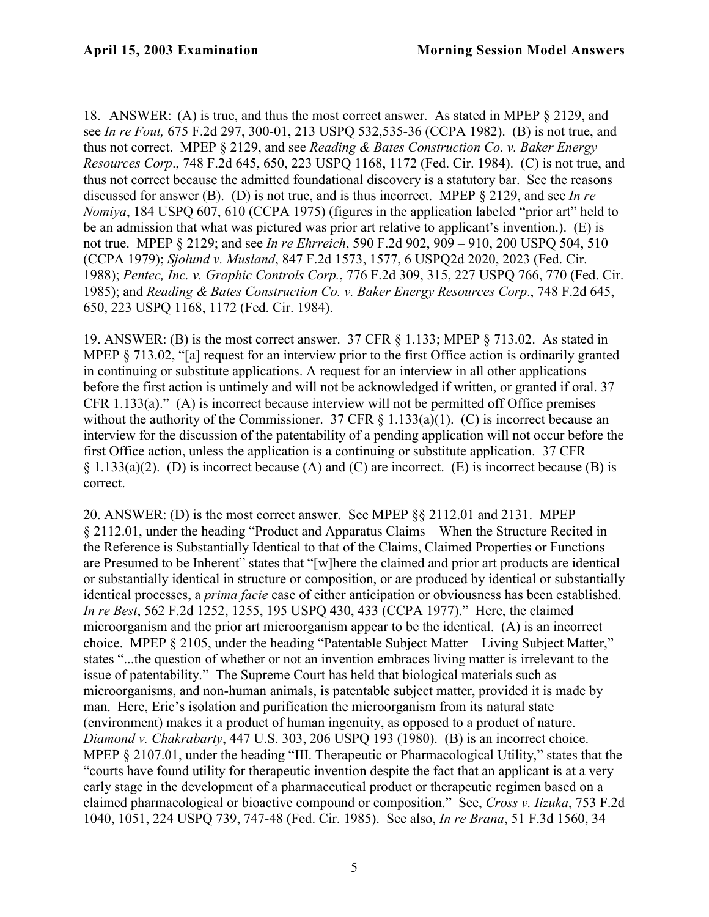18. ANSWER: (A) is true, and thus the most correct answer. As stated in MPEP § 2129, and see *In re Fout,* 675 F.2d 297, 300-01, 213 USPQ 532,535-36 (CCPA 1982). (B) is not true, and thus not correct. MPEP § 2129, and see *Reading & Bates Construction Co. v. Baker Energy Resources Corp*., 748 F.2d 645, 650, 223 USPQ 1168, 1172 (Fed. Cir. 1984). (C) is not true, and thus not correct because the admitted foundational discovery is a statutory bar. See the reasons discussed for answer (B). (D) is not true, and is thus incorrect. MPEP § 2129, and see *In re Nomiya*, 184 USPQ 607, 610 (CCPA 1975) (figures in the application labeled "prior art" held to be an admission that what was pictured was prior art relative to applicant's invention.). (E) is not true. MPEP § 2129; and see *In re Ehrreich*, 590 F.2d 902, 909 – 910, 200 USPQ 504, 510 (CCPA 1979); *Sjolund v. Musland*, 847 F.2d 1573, 1577, 6 USPQ2d 2020, 2023 (Fed. Cir. 1988); *Pentec, Inc. v. Graphic Controls Corp.*, 776 F.2d 309, 315, 227 USPQ 766, 770 (Fed. Cir. 1985); and *Reading & Bates Construction Co. v. Baker Energy Resources Corp*., 748 F.2d 645, 650, 223 USPQ 1168, 1172 (Fed. Cir. 1984).

19. ANSWER: (B) is the most correct answer. 37 CFR § 1.133; MPEP § 713.02. As stated in MPEP § 713.02, "[a] request for an interview prior to the first Office action is ordinarily granted in continuing or substitute applications. A request for an interview in all other applications before the first action is untimely and will not be acknowledged if written, or granted if oral. 37 CFR 1.133(a)." (A) is incorrect because interview will not be permitted off Office premises without the authority of the Commissioner. 37 CFR  $\S$  1.133(a)(1). (C) is incorrect because an interview for the discussion of the patentability of a pending application will not occur before the first Office action, unless the application is a continuing or substitute application. 37 CFR § 1.133(a)(2). (D) is incorrect because (A) and (C) are incorrect. (E) is incorrect because (B) is correct.

20. ANSWER: (D) is the most correct answer. See MPEP §§ 2112.01 and 2131. MPEP § 2112.01, under the heading "Product and Apparatus Claims – When the Structure Recited in the Reference is Substantially Identical to that of the Claims, Claimed Properties or Functions are Presumed to be Inherent" states that "[w]here the claimed and prior art products are identical or substantially identical in structure or composition, or are produced by identical or substantially identical processes, a *prima facie* case of either anticipation or obviousness has been established. *In re Best*, 562 F.2d 1252, 1255, 195 USPQ 430, 433 (CCPA 1977)." Here, the claimed microorganism and the prior art microorganism appear to be the identical. (A) is an incorrect choice. MPEP § 2105, under the heading "Patentable Subject Matter – Living Subject Matter," states "...the question of whether or not an invention embraces living matter is irrelevant to the issue of patentability." The Supreme Court has held that biological materials such as microorganisms, and non-human animals, is patentable subject matter, provided it is made by man. Here, Eric's isolation and purification the microorganism from its natural state (environment) makes it a product of human ingenuity, as opposed to a product of nature. *Diamond v. Chakrabarty*, 447 U.S. 303, 206 USPQ 193 (1980). (B) is an incorrect choice. MPEP § 2107.01, under the heading "III. Therapeutic or Pharmacological Utility," states that the "courts have found utility for therapeutic invention despite the fact that an applicant is at a very early stage in the development of a pharmaceutical product or therapeutic regimen based on a claimed pharmacological or bioactive compound or composition." See, *Cross v. Iizuka*, 753 F.2d 1040, 1051, 224 USPQ 739, 747-48 (Fed. Cir. 1985). See also, *In re Brana*, 51 F.3d 1560, 34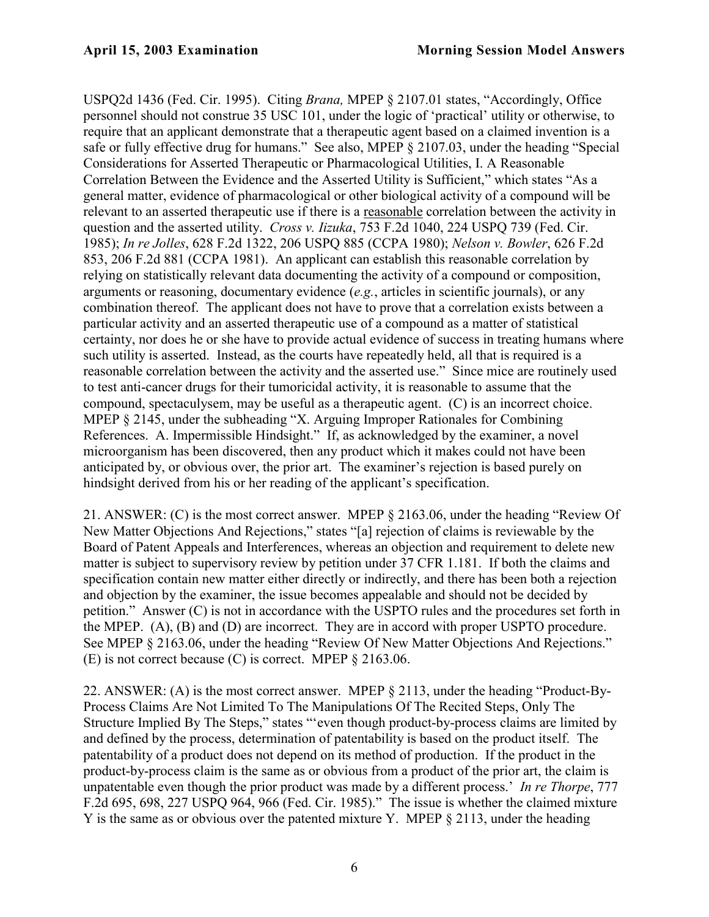USPQ2d 1436 (Fed. Cir. 1995). Citing *Brana,* MPEP § 2107.01 states, "Accordingly, Office personnel should not construe 35 USC 101, under the logic of 'practical' utility or otherwise, to require that an applicant demonstrate that a therapeutic agent based on a claimed invention is a safe or fully effective drug for humans." See also, MPEP § 2107.03, under the heading "Special Considerations for Asserted Therapeutic or Pharmacological Utilities, I. A Reasonable Correlation Between the Evidence and the Asserted Utility is Sufficient," which states "As a general matter, evidence of pharmacological or other biological activity of a compound will be relevant to an asserted therapeutic use if there is a reasonable correlation between the activity in question and the asserted utility. *Cross v. Iizuka*, 753 F.2d 1040, 224 USPQ 739 (Fed. Cir. 1985); *In re Jolles*, 628 F.2d 1322, 206 USPQ 885 (CCPA 1980); *Nelson v. Bowler*, 626 F.2d 853, 206 F.2d 881 (CCPA 1981). An applicant can establish this reasonable correlation by relying on statistically relevant data documenting the activity of a compound or composition, arguments or reasoning, documentary evidence (*e.g.*, articles in scientific journals), or any combination thereof. The applicant does not have to prove that a correlation exists between a particular activity and an asserted therapeutic use of a compound as a matter of statistical certainty, nor does he or she have to provide actual evidence of success in treating humans where such utility is asserted. Instead, as the courts have repeatedly held, all that is required is a reasonable correlation between the activity and the asserted use." Since mice are routinely used to test anti-cancer drugs for their tumoricidal activity, it is reasonable to assume that the compound, spectaculysem, may be useful as a therapeutic agent. (C) is an incorrect choice. MPEP § 2145, under the subheading "X. Arguing Improper Rationales for Combining References. A. Impermissible Hindsight." If, as acknowledged by the examiner, a novel microorganism has been discovered, then any product which it makes could not have been anticipated by, or obvious over, the prior art. The examiner's rejection is based purely on hindsight derived from his or her reading of the applicant's specification.

21. ANSWER: (C) is the most correct answer. MPEP § 2163.06, under the heading "Review Of New Matter Objections And Rejections," states "[a] rejection of claims is reviewable by the Board of Patent Appeals and Interferences, whereas an objection and requirement to delete new matter is subject to supervisory review by petition under 37 CFR [1.181](http://www.uspto.gov/web/offices/pac/mpep/documents/appxr_1_179.htm). If both the claims and specification contain new matter either directly or indirectly, and there has been both a rejection and objection by the examiner, the issue becomes appealable and should not be decided by petition." Answer (C) is not in accordance with the USPTO rules and the procedures set forth in the MPEP. (A), (B) and (D) are incorrect. They are in accord with proper USPTO procedure. See MPEP § 2163.06, under the heading "Review Of New Matter Objections And Rejections." (E) is not correct because (C) is correct. MPEP § 2163.06.

22. ANSWER: (A) is the most correct answer. MPEP § 2113, under the heading "Product-By-Process Claims Are Not Limited To The Manipulations Of The Recited Steps, Only The Structure Implied By The Steps," states "'even though product-by-process claims are limited by and defined by the process, determination of patentability is based on the product itself. The patentability of a product does not depend on its method of production. If the product in the product-by-process claim is the same as or obvious from a product of the prior art, the claim is unpatentable even though the prior product was made by a different process.' *In re Thorpe*, 777 F.2d 695, 698, 227 USPQ 964, 966 (Fed. Cir. 1985)." The issue is whether the claimed mixture Y is the same as or obvious over the patented mixture Y. MPEP § 2113, under the heading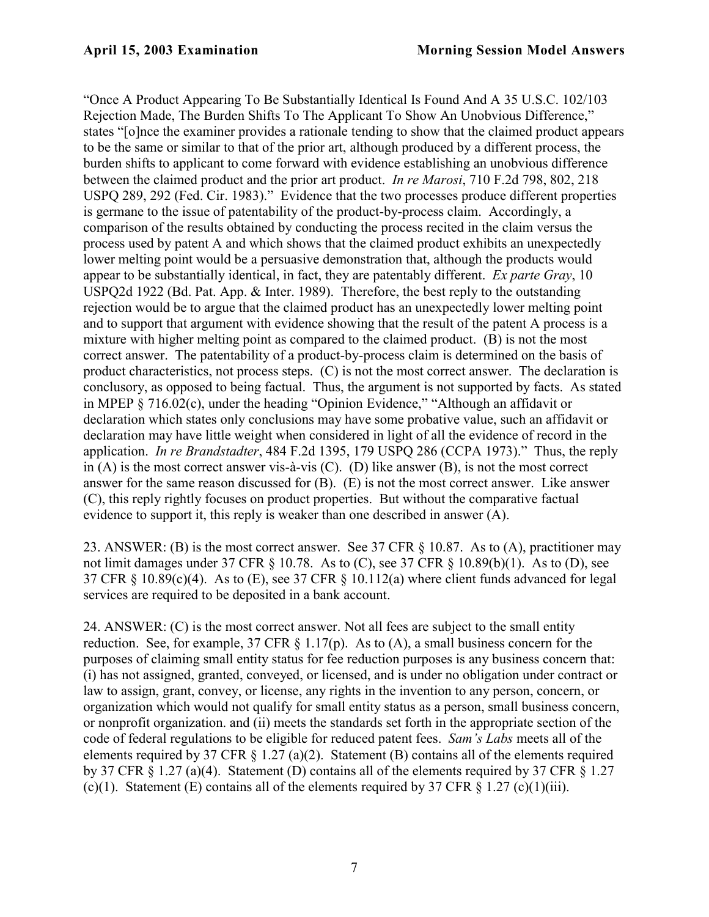"Once A Product Appearing To Be Substantially Identical Is Found And A 35 U.S.C. 102/103 Rejection Made, The Burden Shifts To The Applicant To Show An Unobvious Difference," states "[o]nce the examiner provides a rationale tending to show that the claimed product appears to be the same or similar to that of the prior art, although produced by a different process, the burden shifts to applicant to come forward with evidence establishing an unobvious difference between the claimed product and the prior art product. *In re Marosi*, 710 F.2d 798, 802, 218 USPQ 289, 292 (Fed. Cir. 1983)." Evidence that the two processes produce different properties is germane to the issue of patentability of the product-by-process claim. Accordingly, a comparison of the results obtained by conducting the process recited in the claim versus the process used by patent A and which shows that the claimed product exhibits an unexpectedly lower melting point would be a persuasive demonstration that, although the products would appear to be substantially identical, in fact, they are patentably different. *Ex parte Gray*, 10 USPQ2d 1922 (Bd. Pat. App. & Inter. 1989). Therefore, the best reply to the outstanding rejection would be to argue that the claimed product has an unexpectedly lower melting point and to support that argument with evidence showing that the result of the patent A process is a mixture with higher melting point as compared to the claimed product. (B) is not the most correct answer. The patentability of a product-by-process claim is determined on the basis of product characteristics, not process steps. (C) is not the most correct answer. The declaration is conclusory, as opposed to being factual. Thus, the argument is not supported by facts. As stated in MPEP § 716.02(c), under the heading "Opinion Evidence," "Although an affidavit or declaration which states only conclusions may have some probative value, such an affidavit or declaration may have little weight when considered in light of all the evidence of record in the application. *In re Brandstadter*, 484 F.2d 1395, 179 USPQ 286 (CCPA 1973)." Thus, the reply in (A) is the most correct answer vis-à-vis (C). (D) like answer (B), is not the most correct answer for the same reason discussed for (B). (E) is not the most correct answer. Like answer (C), this reply rightly focuses on product properties. But without the comparative factual evidence to support it, this reply is weaker than one described in answer (A).

23. ANSWER: (B) is the most correct answer. See 37 CFR § 10.87. As to (A), practitioner may not limit damages under 37 CFR § 10.78. As to (C), see 37 CFR § 10.89(b)(1). As to (D), see 37 CFR § 10.89(c)(4). As to (E), see 37 CFR § 10.112(a) where client funds advanced for legal services are required to be deposited in a bank account.

24. ANSWER: (C) is the most correct answer. Not all fees are subject to the small entity reduction. See, for example, 37 CFR  $\S$  1.17(p). As to (A), a small business concern for the purposes of claiming small entity status for fee reduction purposes is any business concern that: (i) has not assigned, granted, conveyed, or licensed, and is under no obligation under contract or law to assign, grant, convey, or license, any rights in the invention to any person, concern, or organization which would not qualify for small entity status as a person, small business concern, or nonprofit organization. and (ii) meets the standards set forth in the appropriate section of the code of federal regulations to be eligible for reduced patent fees. *Sam's Labs* meets all of the elements required by 37 CFR § 1.27 (a)(2). Statement (B) contains all of the elements required by 37 CFR § 1.27 (a)(4). Statement (D) contains all of the elements required by 37 CFR § 1.27 (c)(1). Statement (E) contains all of the elements required by 37 CFR  $\S 1.27$  (c)(1)(iii).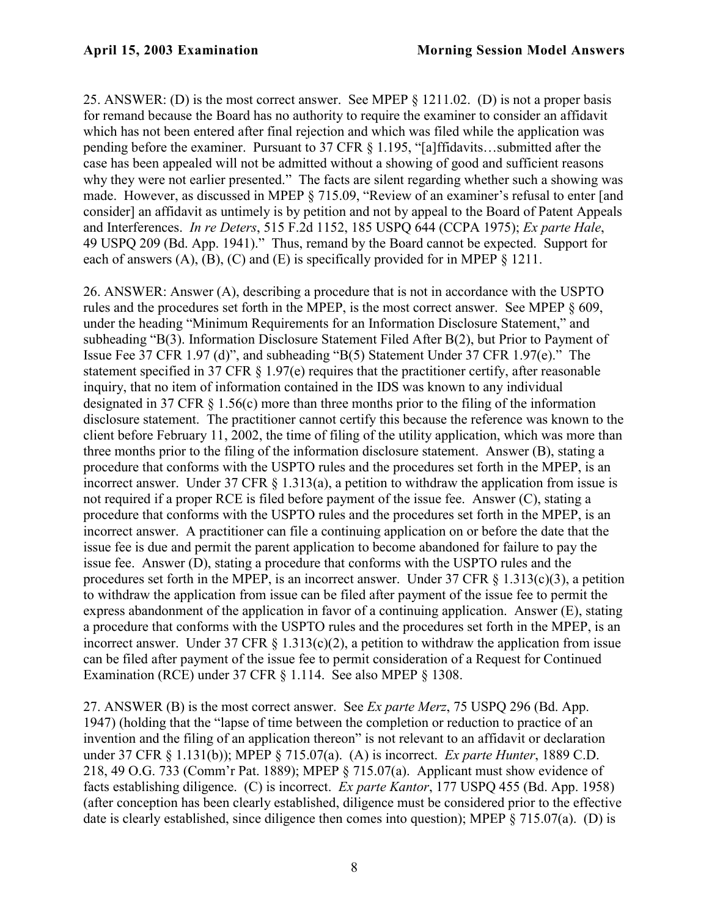25. ANSWER: (D) is the most correct answer. See MPEP § 1211.02. (D) is not a proper basis for remand because the Board has no authority to require the examiner to consider an affidavit which has not been entered after final rejection and which was filed while the application was pending before the examiner. Pursuant to 37 CFR § 1.195, "[a]ffidavits…submitted after the case has been appealed will not be admitted without a showing of good and sufficient reasons why they were not earlier presented." The facts are silent regarding whether such a showing was made. However, as discussed in MPEP § 715.09, "Review of an examiner's refusal to enter [and consider] an affidavit as untimely is by petition and not by appeal to the Board of Patent Appeals and Interferences. *In re Deters*, 515 F.2d 1152, 185 USPQ 644 (CCPA 1975); *Ex parte Hale*, 49 USPQ 209 (Bd. App. 1941)." Thus, remand by the Board cannot be expected. Support for each of answers  $(A)$ ,  $(B)$ ,  $(C)$  and  $(E)$  is specifically provided for in MPEP  $\S$  1211.

26. ANSWER: Answer (A), describing a procedure that is not in accordance with the USPTO rules and the procedures set forth in the MPEP, is the most correct answer. See MPEP § 609, under the heading "Minimum Requirements for an Information Disclosure Statement," and subheading "B(3). Information Disclosure Statement Filed After B(2), but Prior to Payment of Issue Fee 37 CFR 1.97 (d)", and subheading "B(5) Statement Under 37 CFR 1.97(e)." The statement specified in 37 CFR § 1.97(e) requires that the practitioner certify, after reasonable inquiry, that no item of information contained in the IDS was known to any individual designated in 37 CFR § 1.56(c) more than three months prior to the filing of the information disclosure statement. The practitioner cannot certify this because the reference was known to the client before February 11, 2002, the time of filing of the utility application, which was more than three months prior to the filing of the information disclosure statement. Answer (B), stating a procedure that conforms with the USPTO rules and the procedures set forth in the MPEP, is an incorrect answer. Under 37 CFR  $\S$  1.313(a), a petition to withdraw the application from issue is not required if a proper RCE is filed before payment of the issue fee. Answer (C), stating a procedure that conforms with the USPTO rules and the procedures set forth in the MPEP, is an incorrect answer. A practitioner can file a continuing application on or before the date that the issue fee is due and permit the parent application to become abandoned for failure to pay the issue fee. Answer (D), stating a procedure that conforms with the USPTO rules and the procedures set forth in the MPEP, is an incorrect answer. Under  $37 \text{ CFR } \S$  1.313(c)(3), a petition to withdraw the application from issue can be filed after payment of the issue fee to permit the express abandonment of the application in favor of a continuing application. Answer (E), stating a procedure that conforms with the USPTO rules and the procedures set forth in the MPEP, is an incorrect answer. Under 37 CFR  $\S$  1.313(c)(2), a petition to withdraw the application from issue can be filed after payment of the issue fee to permit consideration of a Request for Continued Examination (RCE) under 37 CFR § 1.114. See also MPEP § 1308.

27. ANSWER (B) is the most correct answer. See *Ex parte Merz*, 75 USPQ 296 (Bd. App. 1947) (holding that the "lapse of time between the completion or reduction to practice of an invention and the filing of an application thereon" is not relevant to an affidavit or declaration under 37 CFR § 1.131(b)); MPEP § 715.07(a). (A) is incorrect. *Ex parte Hunter*, 1889 C.D. 218, 49 O.G. 733 (Comm'r Pat. 1889); MPEP § 715.07(a). Applicant must show evidence of facts establishing diligence. (C) is incorrect. *Ex parte Kantor*, 177 USPQ 455 (Bd. App. 1958) (after conception has been clearly established, diligence must be considered prior to the effective date is clearly established, since diligence then comes into question); MPEP § 715.07(a). (D) is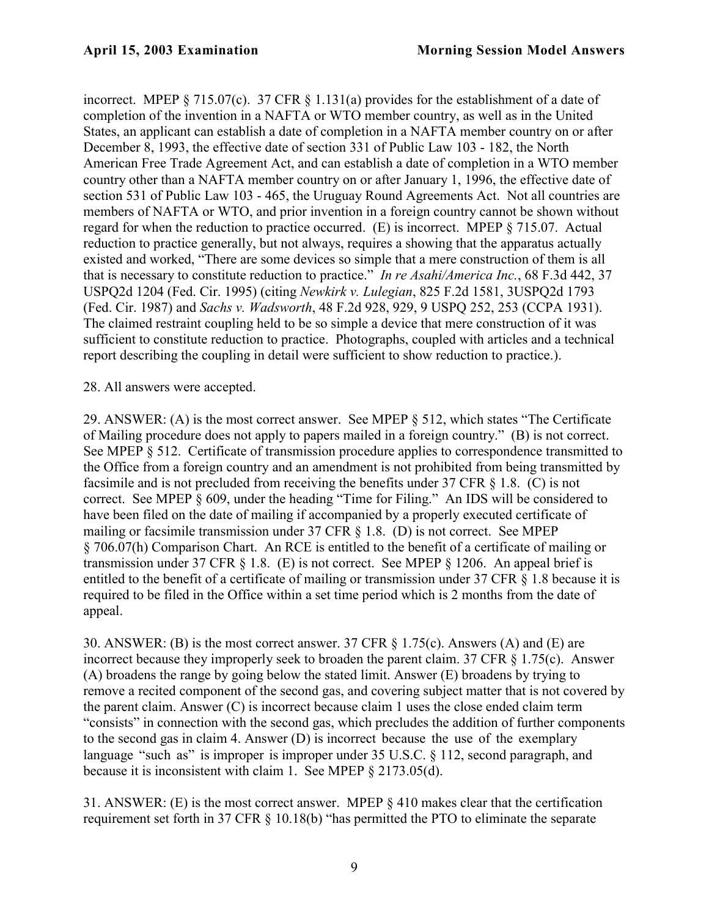incorrect. MPEP § 715.07(c). 37 CFR § 1.131(a) provides for the establishment of a date of completion of the invention in a NAFTA or WTO member country, as well as in the United States, an applicant can establish a date of completion in a NAFTA member country on or after December 8, 1993, the effective date of section 331 of Public Law 103 - 182, the North American Free Trade Agreement Act, and can establish a date of completion in a WTO member country other than a NAFTA member country on or after January 1, 1996, the effective date of section 531 of Public Law 103 - 465, the Uruguay Round Agreements Act. Not all countries are members of NAFTA or WTO, and prior invention in a foreign country cannot be shown without regard for when the reduction to practice occurred. (E) is incorrect. MPEP § 715.07. Actual reduction to practice generally, but not always, requires a showing that the apparatus actually existed and worked, "There are some devices so simple that a mere construction of them is all that is necessary to constitute reduction to practice." *In re Asahi/America Inc.*, 68 F.3d 442, 37 USPQ2d 1204 (Fed. Cir. 1995) (citing *Newkirk v. Lulegian*, 825 F.2d 1581, 3USPQ2d 1793 (Fed. Cir. 1987) and *Sachs v. Wadsworth*, 48 F.2d 928, 929, 9 USPQ 252, 253 (CCPA 1931). The claimed restraint coupling held to be so simple a device that mere construction of it was sufficient to constitute reduction to practice. Photographs, coupled with articles and a technical report describing the coupling in detail were sufficient to show reduction to practice.).

28. All answers were accepted.

29. ANSWER: (A) is the most correct answer. See MPEP § 512, which states "The Certificate of Mailing procedure does not apply to papers mailed in a foreign country." (B) is not correct. See MPEP § 512. Certificate of transmission procedure applies to correspondence transmitted to the Office from a foreign country and an amendment is not prohibited from being transmitted by facsimile and is not precluded from receiving the benefits under 37 CFR § 1.8. (C) is not correct. See MPEP § 609, under the heading "Time for Filing." An IDS will be considered to have been filed on the date of mailing if accompanied by a properly executed certificate of mailing or facsimile transmission under 37 CFR § 1.8. (D) is not correct. See MPEP § 706.07(h) Comparison Chart. An RCE is entitled to the benefit of a certificate of mailing or transmission under 37 CFR § 1.8. (E) is not correct. See MPEP § 1206. An appeal brief is entitled to the benefit of a certificate of mailing or transmission under 37 CFR § 1.8 because it is required to be filed in the Office within a set time period which is 2 months from the date of appeal.

30. ANSWER: (B) is the most correct answer. 37 CFR § 1.75(c). Answers (A) and (E) are incorrect because they improperly seek to broaden the parent claim. 37 CFR § 1.75(c). Answer (A) broadens the range by going below the stated limit. Answer (E) broadens by trying to remove a recited component of the second gas, and covering subject matter that is not covered by the parent claim. Answer (C) is incorrect because claim 1 uses the close ended claim term "consists" in connection with the second gas, which precludes the addition of further components to the second gas in claim 4. Answer (D) is incorrect because the use of the exemplary language "such as" is improper is improper under 35 U.S.C. § 112, second paragraph, and because it is inconsistent with claim 1. See MPEP § 2173.05(d).

31. ANSWER: (E) is the most correct answer. MPEP § 410 makes clear that the certification requirement set forth in 37 CFR § 10.18(b) "has permitted the PTO to eliminate the separate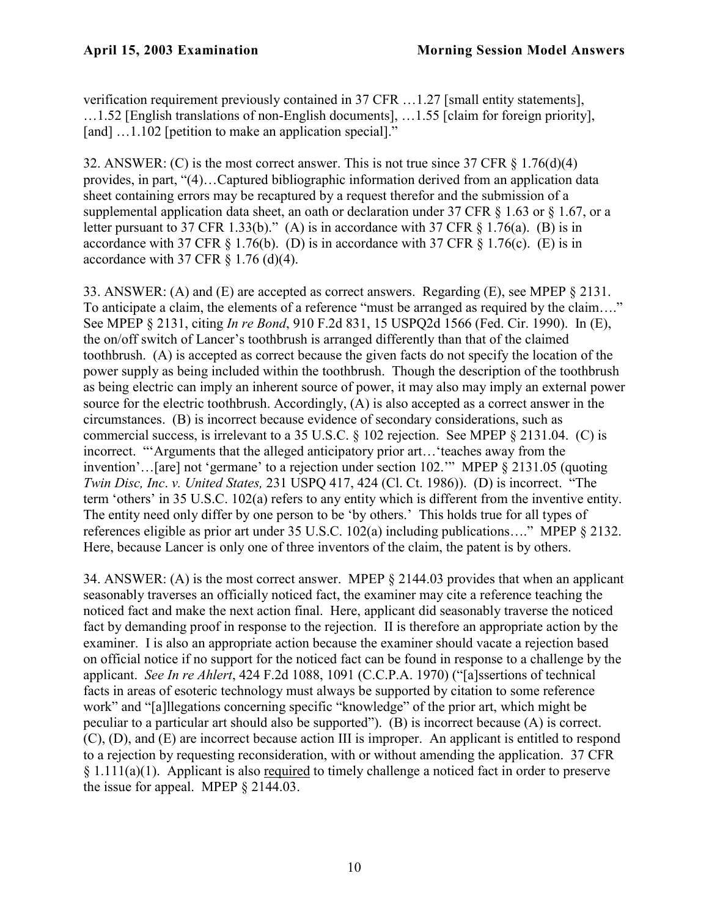verification requirement previously contained in 37 CFR …1.27 [small entity statements], …1.52 [English translations of non-English documents], …1.55 [claim for foreign priority], [and] ...1.102 [petition to make an application special]."

32. ANSWER: (C) is the most correct answer. This is not true since 37 CFR § 1.76(d)(4) provides, in part, "(4)…Captured bibliographic information derived from an application data sheet containing errors may be recaptured by a request therefor and the submission of a supplemental application data sheet, an oath or declaration under  $37$  CFR  $\frac{163}{3}$  or  $\frac{167}{3}$  or a letter pursuant to 37 CFR 1.33(b)." (A) is in accordance with 37 CFR  $\S$  1.76(a). (B) is in accordance with 37 CFR  $\S$  1.76(b). (D) is in accordance with 37 CFR  $\S$  1.76(c). (E) is in accordance with 37 CFR  $\S$  1.76 (d)(4).

33. ANSWER: (A) and (E) are accepted as correct answers. Regarding (E), see MPEP § 2131. To anticipate a claim, the elements of a reference "must be arranged as required by the claim…." See MPEP § 2131, citing *In re Bond*, 910 F.2d 831, 15 USPQ2d 1566 (Fed. Cir. 1990). In (E), the on/off switch of Lancer's toothbrush is arranged differently than that of the claimed toothbrush. (A) is accepted as correct because the given facts do not specify the location of the power supply as being included within the toothbrush. Though the description of the toothbrush as being electric can imply an inherent source of power, it may also may imply an external power source for the electric toothbrush. Accordingly, (A) is also accepted as a correct answer in the circumstances. (B) is incorrect because evidence of secondary considerations, such as commercial success, is irrelevant to a 35 U.S.C. § 102 rejection. See MPEP § 2131.04. (C) is incorrect. "'Arguments that the alleged anticipatory prior art…'teaches away from the invention'…[are] not 'germane' to a rejection under section 102.'" MPEP § 2131.05 (quoting *Twin Disc, Inc*. *v. United States,* 231 USPQ 417, 424 (Cl. Ct. 1986)). (D) is incorrect. "The term 'others' in 35 U.S.C. 102(a) refers to any entity which is different from the inventive entity. The entity need only differ by one person to be 'by others.' This holds true for all types of references eligible as prior art under 35 U.S.C. 102(a) including publications…." MPEP § 2132. Here, because Lancer is only one of three inventors of the claim, the patent is by others.

34. ANSWER: (A) is the most correct answer. MPEP § 2144.03 provides that when an applicant seasonably traverses an officially noticed fact, the examiner may cite a reference teaching the noticed fact and make the next action final. Here, applicant did seasonably traverse the noticed fact by demanding proof in response to the rejection. II is therefore an appropriate action by the examiner. I is also an appropriate action because the examiner should vacate a rejection based on official notice if no support for the noticed fact can be found in response to a challenge by the applicant. *See In re Ahlert*, 424 F.2d 1088, 1091 (C.C.P.A. 1970) ("[a]ssertions of technical facts in areas of esoteric technology must always be supported by citation to some reference work" and "[a]llegations concerning specific "knowledge" of the prior art, which might be peculiar to a particular art should also be supported"). (B) is incorrect because (A) is correct. (C), (D), and (E) are incorrect because action III is improper. An applicant is entitled to respond to a rejection by requesting reconsideration, with or without amending the application. 37 CFR § 1.111(a)(1). Applicant is also required to timely challenge a noticed fact in order to preserve the issue for appeal. MPEP § 2144.03.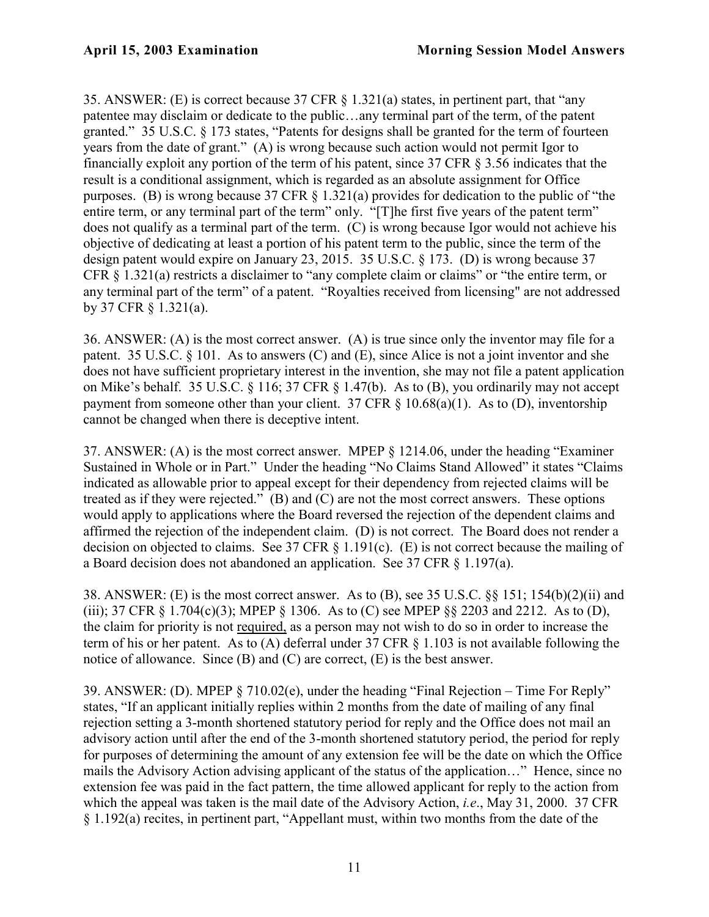35. ANSWER: (E) is correct because 37 CFR § 1.321(a) states, in pertinent part, that "any patentee may disclaim or dedicate to the public…any terminal part of the term, of the patent granted." 35 U.S.C. § 173 states, "Patents for designs shall be granted for the term of fourteen years from the date of grant." (A) is wrong because such action would not permit Igor to financially exploit any portion of the term of his patent, since 37 CFR § 3.56 indicates that the result is a conditional assignment, which is regarded as an absolute assignment for Office purposes. (B) is wrong because 37 CFR § 1.321(a) provides for dedication to the public of "the entire term, or any terminal part of the term" only. "[T]he first five years of the patent term" does not qualify as a terminal part of the term. (C) is wrong because Igor would not achieve his objective of dedicating at least a portion of his patent term to the public, since the term of the design patent would expire on January 23, 2015. 35 U.S.C. § 173. (D) is wrong because 37 CFR § 1.321(a) restricts a disclaimer to "any complete claim or claims" or "the entire term, or any terminal part of the term" of a patent. "Royalties received from licensing" are not addressed by 37 CFR § 1.321(a).

36. ANSWER: (A) is the most correct answer. (A) is true since only the inventor may file for a patent. 35 U.S.C. § 101. As to answers (C) and (E), since Alice is not a joint inventor and she does not have sufficient proprietary interest in the invention, she may not file a patent application on Mike's behalf. 35 U.S.C. § 116; 37 CFR § 1.47(b). As to (B), you ordinarily may not accept payment from someone other than your client. 37 CFR  $\S$  10.68(a)(1). As to (D), inventorship cannot be changed when there is deceptive intent.

37. ANSWER: (A) is the most correct answer. MPEP § 1214.06, under the heading "Examiner Sustained in Whole or in Part." Under the heading "No Claims Stand Allowed" it states "Claims indicated as allowable prior to appeal except for their dependency from rejected claims will be treated as if they were rejected." (B) and (C) are not the most correct answers. These options would apply to applications where the Board reversed the rejection of the dependent claims and affirmed the rejection of the independent claim. (D) is not correct. The Board does not render a decision on objected to claims. See 37 CFR § 1.191(c). (E) is not correct because the mailing of a Board decision does not abandoned an application. See 37 CFR § 1.197(a).

38. ANSWER: (E) is the most correct answer. As to (B), see 35 U.S.C. §§ 151; 154(b)(2)(ii) and (iii); 37 CFR  $\S$  1.704(c)(3); MPEP  $\S$  1306. As to (C) see MPEP  $\S$  $\S$  2203 and 2212. As to (D), the claim for priority is not required, as a person may not wish to do so in order to increase the term of his or her patent. As to (A) deferral under 37 CFR § 1.103 is not available following the notice of allowance. Since (B) and (C) are correct, (E) is the best answer.

39. ANSWER: (D). MPEP § 710.02(e), under the heading "Final Rejection – Time For Reply" states, "If an applicant initially replies within 2 months from the date of mailing of any final rejection setting a 3-month shortened statutory period for reply and the Office does not mail an advisory action until after the end of the 3-month shortened statutory period, the period for reply for purposes of determining the amount of any extension fee will be the date on which the Office mails the Advisory Action advising applicant of the status of the application…" Hence, since no extension fee was paid in the fact pattern, the time allowed applicant for reply to the action from which the appeal was taken is the mail date of the Advisory Action, *i.e*., May 31, 2000. 37 CFR § 1.192(a) recites, in pertinent part, "Appellant must, within two months from the date of the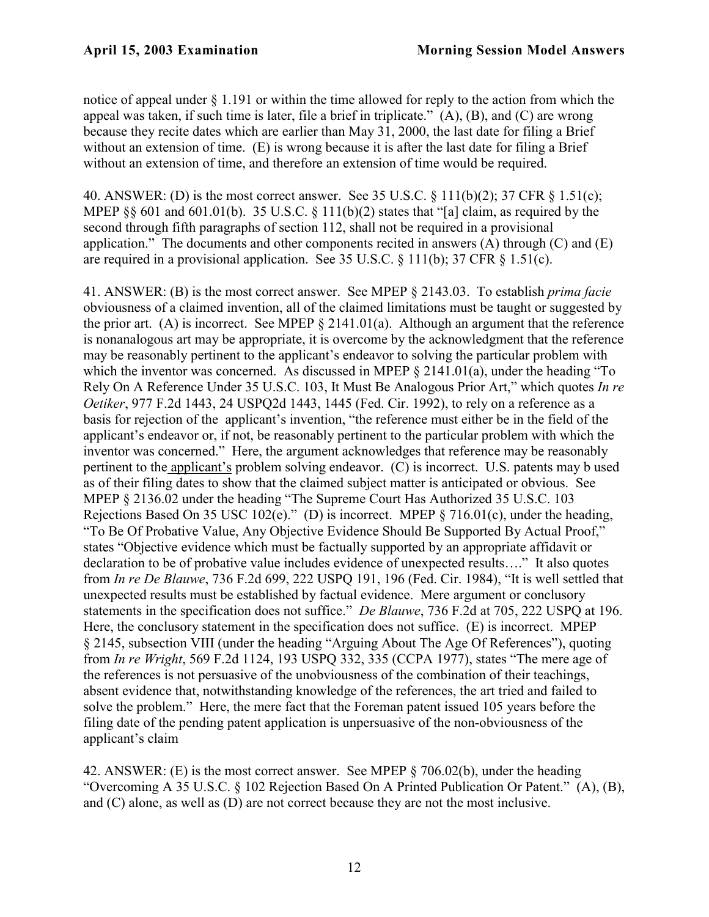notice of appeal under § 1.191 or within the time allowed for reply to the action from which the appeal was taken, if such time is later, file a brief in triplicate." (A), (B), and (C) are wrong because they recite dates which are earlier than May 31, 2000, the last date for filing a Brief without an extension of time. (E) is wrong because it is after the last date for filing a Brief without an extension of time, and therefore an extension of time would be required.

40. ANSWER: (D) is the most correct answer. See 35 U.S.C. § 111(b)(2); 37 CFR § 1.51(c); MPEP  $\S$ § 601 and 601.01(b). 35 U.S.C. § 111(b)(2) states that "[a] claim, as required by the second through fifth paragraphs of section 112, shall not be required in a provisional application." The documents and other components recited in answers  $(A)$  through  $(C)$  and  $(E)$ are required in a provisional application. See 35 U.S.C. § 111(b); 37 CFR § 1.51(c).

41. ANSWER: (B) is the most correct answer. See MPEP § 2143.03. To establish *prima facie* obviousness of a claimed invention, all of the claimed limitations must be taught or suggested by the prior art. (A) is incorrect. See MPEP § 2141.01(a). Although an argument that the reference is nonanalogous art may be appropriate, it is overcome by the acknowledgment that the reference may be reasonably pertinent to the applicant's endeavor to solving the particular problem with which the inventor was concerned. As discussed in MPEP  $\S$  2141.01(a), under the heading "To Rely On A Reference Under 35 U.S.C. 103, It Must Be Analogous Prior Art," which quotes *In re Oetiker*, 977 F.2d 1443, 24 USPQ2d 1443, 1445 (Fed. Cir. 1992), to rely on a reference as a basis for rejection of the applicant's invention, "the reference must either be in the field of the applicant's endeavor or, if not, be reasonably pertinent to the particular problem with which the inventor was concerned." Here, the argument acknowledges that reference may be reasonably pertinent to the applicant's problem solving endeavor. (C) is incorrect. U.S. patents may b used as of their filing dates to show that the claimed subject matter is anticipated or obvious. See MPEP § 2136.02 under the heading "The Supreme Court Has Authorized 35 U.S.C. 103 Rejections Based On 35 USC 102(e)." (D) is incorrect. MPEP § 716.01(c), under the heading, "To Be Of Probative Value, Any Objective Evidence Should Be Supported By Actual Proof," states "Objective evidence which must be factually supported by an appropriate affidavit or declaration to be of probative value includes evidence of unexpected results…." It also quotes from *In re De Blauwe*, 736 F.2d 699, 222 USPQ 191, 196 (Fed. Cir. 1984), "It is well settled that unexpected results must be established by factual evidence. Mere argument or conclusory statements in the specification does not suffice." *De Blauwe*, 736 F.2d at 705, 222 USPQ at 196. Here, the conclusory statement in the specification does not suffice. (E) is incorrect. MPEP § 2145, subsection VIII (under the heading "Arguing About The Age Of References"), quoting from *In re Wright*, 569 F.2d 1124, 193 USPQ 332, 335 (CCPA 1977), states "The mere age of the references is not persuasive of the unobviousness of the combination of their teachings, absent evidence that, notwithstanding knowledge of the references, the art tried and failed to solve the problem." Here, the mere fact that the Foreman patent issued 105 years before the filing date of the pending patent application is unpersuasive of the non-obviousness of the applicant's claim

42. ANSWER: (E) is the most correct answer. See MPEP § 706.02(b), under the heading "Overcoming A 35 U.S.C. § 102 Rejection Based On A Printed Publication Or Patent." (A), (B), and (C) alone, as well as (D) are not correct because they are not the most inclusive.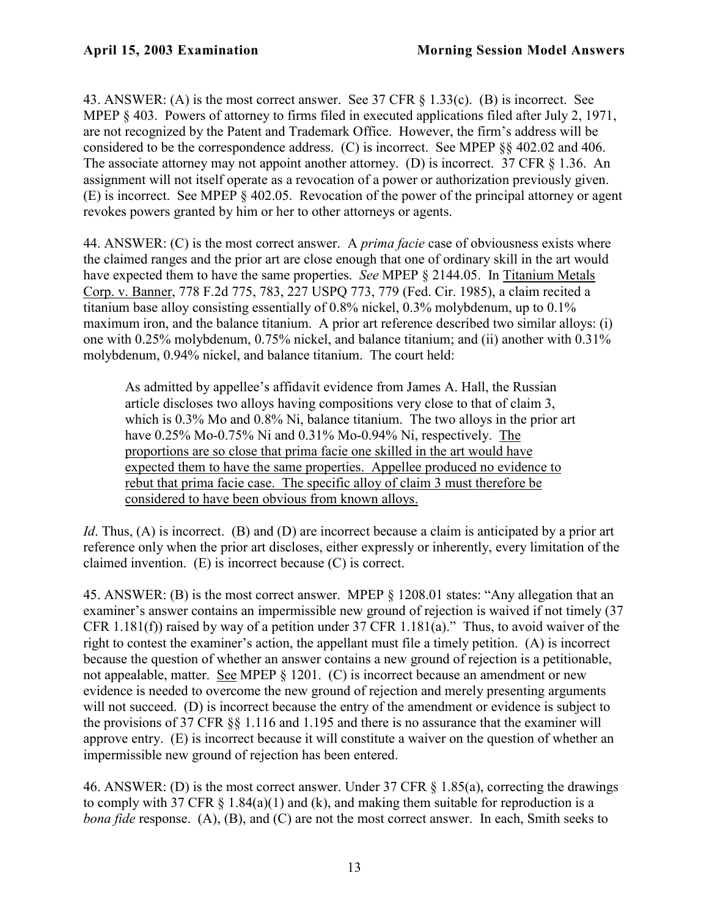43. ANSWER: (A) is the most correct answer. See 37 CFR § 1.33(c). (B) is incorrect. See MPEP  $\&$  403. Powers of attorney to firms filed in executed applications filed after July 2, 1971, are not recognized by the Patent and Trademark Office. However, the firm's address will be considered to be the correspondence address. (C) is incorrect. See MPEP §§ 402.02 and 406. The associate attorney may not appoint another attorney. (D) is incorrect. 37 CFR § 1.36. An assignment will not itself operate as a revocation of a power or authorization previously given. (E) is incorrect. See MPEP § 402.05. Revocation of the power of the principal attorney or agent revokes powers granted by him or her to other attorneys or agents.

44. ANSWER: (C) is the most correct answer. A *prima facie* case of obviousness exists where the claimed ranges and the prior art are close enough that one of ordinary skill in the art would have expected them to have the same properties. *See* MPEP § 2144.05. In Titanium Metals Corp. v. Banner, 778 F.2d 775, 783, 227 USPQ 773, 779 (Fed. Cir. 1985), a claim recited a titanium base alloy consisting essentially of 0.8% nickel, 0.3% molybdenum, up to 0.1% maximum iron, and the balance titanium. A prior art reference described two similar alloys: (i) one with 0.25% molybdenum, 0.75% nickel, and balance titanium; and (ii) another with 0.31% molybdenum, 0.94% nickel, and balance titanium. The court held:

As admitted by appellee's affidavit evidence from James A. Hall, the Russian article discloses two alloys having compositions very close to that of claim 3, which is 0.3% Mo and 0.8% Ni, balance titanium. The two alloys in the prior art have 0.25% Mo-0.75% Ni and 0.31% Mo-0.94% Ni, respectively. The proportions are so close that prima facie one skilled in the art would have expected them to have the same properties. Appellee produced no evidence to rebut that prima facie case. The specific alloy of claim 3 must therefore be considered to have been obvious from known alloys.

*Id*. Thus, (A) is incorrect. (B) and (D) are incorrect because a claim is anticipated by a prior art reference only when the prior art discloses, either expressly or inherently, every limitation of the claimed invention. (E) is incorrect because (C) is correct.

45. ANSWER: (B) is the most correct answer. MPEP § 1208.01 states: "Any allegation that an examiner's answer contains an impermissible new ground of rejection is waived if not timely (37 CFR 1.181(f)) raised by way of a petition under 37 CFR 1.181(a)." Thus, to avoid waiver of the right to contest the examiner's action, the appellant must file a timely petition. (A) is incorrect because the question of whether an answer contains a new ground of rejection is a petitionable, not appealable, matter. See MPEP § 1201. (C) is incorrect because an amendment or new evidence is needed to overcome the new ground of rejection and merely presenting arguments will not succeed. (D) is incorrect because the entry of the amendment or evidence is subject to the provisions of 37 CFR §§ 1.116 and 1.195 and there is no assurance that the examiner will approve entry. (E) is incorrect because it will constitute a waiver on the question of whether an impermissible new ground of rejection has been entered.

46. ANSWER: (D) is the most correct answer. Under 37 CFR § 1.85(a), correcting the drawings to comply with 37 CFR  $\S$  1.84(a)(1) and (k), and making them suitable for reproduction is a *bona fide* response. (A), (B), and (C) are not the most correct answer. In each, Smith seeks to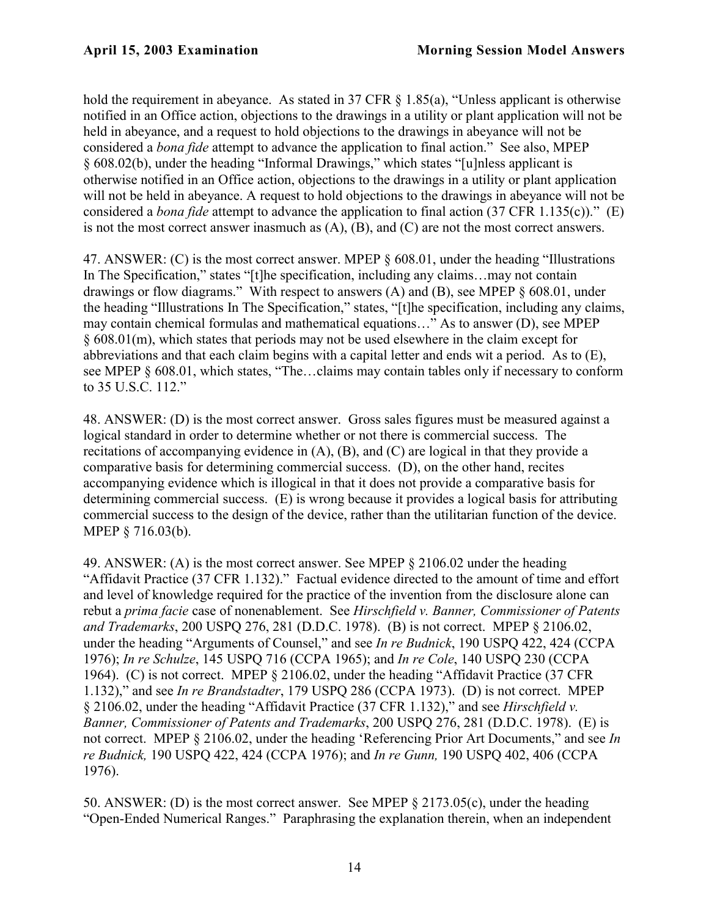hold the requirement in abeyance. As stated in 37 CFR § 1.85(a), "Unless applicant is otherwise notified in an Office action, objections to the drawings in a utility or plant application will not be held in abeyance, and a request to hold objections to the drawings in abeyance will not be considered a *bona fide* attempt to advance the application to final action." See also, MPEP § 608.02(b), under the heading "Informal Drawings," which states "[u]nless applicant is otherwise notified in an Office action, objections to the drawings in a utility or plant application will not be held in abeyance. A request to hold objections to the drawings in abeyance will not be considered a *bona fide* attempt to advance the application to final action (37 CFR 1.135(c))." (E) is not the most correct answer inasmuch as (A), (B), and (C) are not the most correct answers.

47. ANSWER: (C) is the most correct answer. MPEP § 608.01, under the heading "Illustrations In The Specification," states "[t]he specification, including any claims...may not contain drawings or flow diagrams." With respect to answers (A) and (B), see MPEP § 608.01, under the heading "Illustrations In The Specification," states, "[t]he specification, including any claims, may contain chemical formulas and mathematical equations…" As to answer (D), see MPEP § 608.01(m), which states that periods may not be used elsewhere in the claim except for abbreviations and that each claim begins with a capital letter and ends wit a period. As to (E), see MPEP § 608.01, which states, "The…claims may contain tables only if necessary to conform to 35 U.S.C. 112."

48. ANSWER: (D) is the most correct answer. Gross sales figures must be measured against a logical standard in order to determine whether or not there is commercial success. The recitations of accompanying evidence in (A), (B), and (C) are logical in that they provide a comparative basis for determining commercial success. (D), on the other hand, recites accompanying evidence which is illogical in that it does not provide a comparative basis for determining commercial success. (E) is wrong because it provides a logical basis for attributing commercial success to the design of the device, rather than the utilitarian function of the device. MPEP § 716.03(b).

49. ANSWER: (A) is the most correct answer. See MPEP § 2106.02 under the heading "Affidavit Practice (37 CFR 1.132)." Factual evidence directed to the amount of time and effort and level of knowledge required for the practice of the invention from the disclosure alone can rebut a *prima facie* case of nonenablement. See *Hirschfield v. Banner, Commissioner of Patents and Trademarks*, 200 USPQ 276, 281 (D.D.C. 1978). (B) is not correct. MPEP § 2106.02, under the heading "Arguments of Counsel," and see *In re Budnick*, 190 USPQ 422, 424 (CCPA 1976); *In re Schulze*, 145 USPQ 716 (CCPA 1965); and *In re Cole*, 140 USPQ 230 (CCPA 1964). (C) is not correct. MPEP § 2106.02, under the heading "Affidavit Practice (37 CFR 1.132)," and see *In re Brandstadter*, 179 USPQ 286 (CCPA 1973). (D) is not correct. MPEP § 2106.02, under the heading "Affidavit Practice (37 CFR 1.132)," and see *Hirschfield v. Banner, Commissioner of Patents and Trademarks*, 200 USPQ 276, 281 (D.D.C. 1978). (E) is not correct. MPEP § 2106.02, under the heading 'Referencing Prior Art Documents," and see *In re Budnick,* 190 USPQ 422, 424 (CCPA 1976); and *In re Gunn,* 190 USPQ 402, 406 (CCPA 1976).

50. ANSWER: (D) is the most correct answer. See MPEP § 2173.05(c), under the heading "Open-Ended Numerical Ranges." Paraphrasing the explanation therein, when an independent